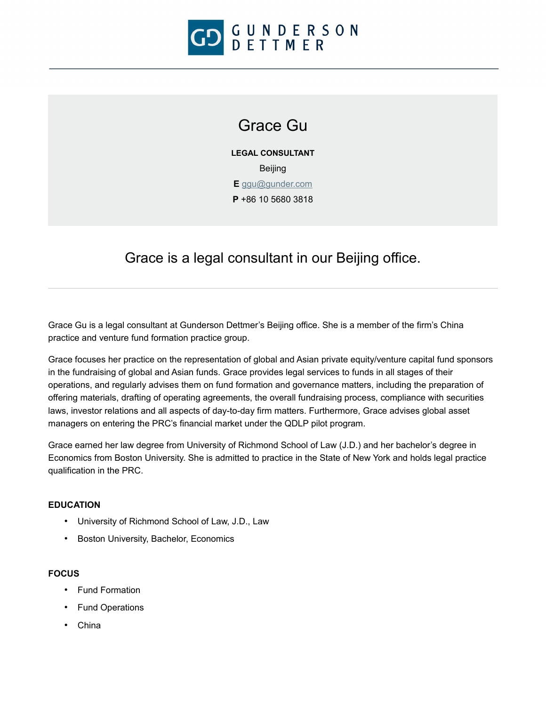

# Grace Gu

**LEGAL CONSULTANT** Beijing **E** [ggu@gunder.com](mailto:ggu@gunder.com) **P** +86 10 5680 3818

## Grace is a legal consultant in our Beijing office.

Grace Gu is a legal consultant at Gunderson Dettmer's Beijing office. She is a member of the firm's China practice and venture fund formation practice group.

Grace focuses her practice on the representation of global and Asian private equity/venture capital fund sponsors in the fundraising of global and Asian funds. Grace provides legal services to funds in all stages of their operations, and regularly advises them on fund formation and governance matters, including the preparation of offering materials, drafting of operating agreements, the overall fundraising process, compliance with securities laws, investor relations and all aspects of day-to-day firm matters. Furthermore, Grace advises global asset managers on entering the PRC's financial market under the QDLP pilot program.

Grace earned her law degree from University of Richmond School of Law (J.D.) and her bachelor's degree in Economics from Boston University. She is admitted to practice in the State of New York and holds legal practice qualification in the PRC.

#### **EDUCATION**

- University of Richmond School of Law, J.D., Law
- Boston University, Bachelor, Economics

#### **FOCUS**

- Fund Formation
- Fund Operations
- China